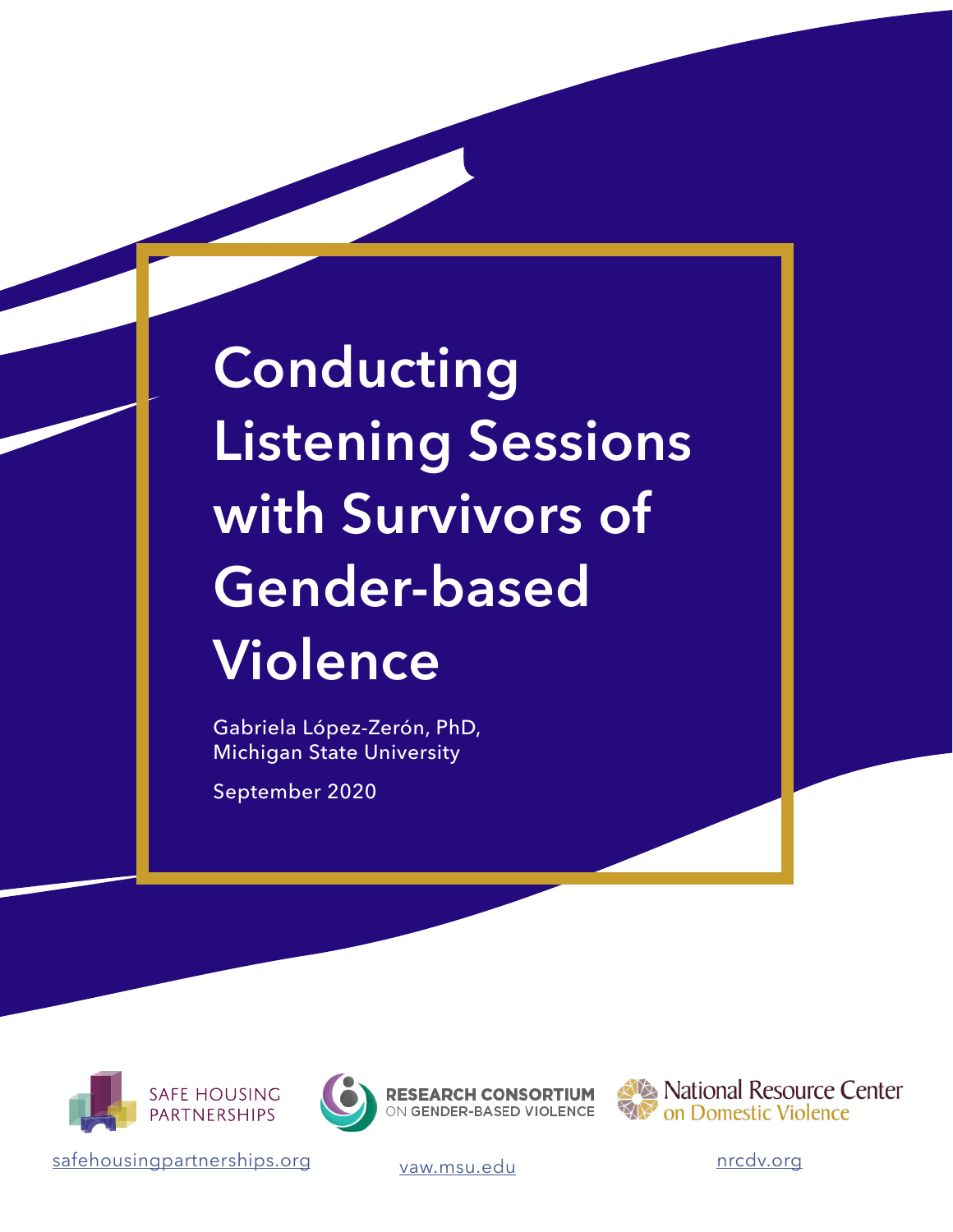# **Conducting Listening Sessions with Survivors of Gender-based Violence**

Gabriela López-Zerón, PhD, Michigan State University

September 2020







National Resource Center on Domestic Violence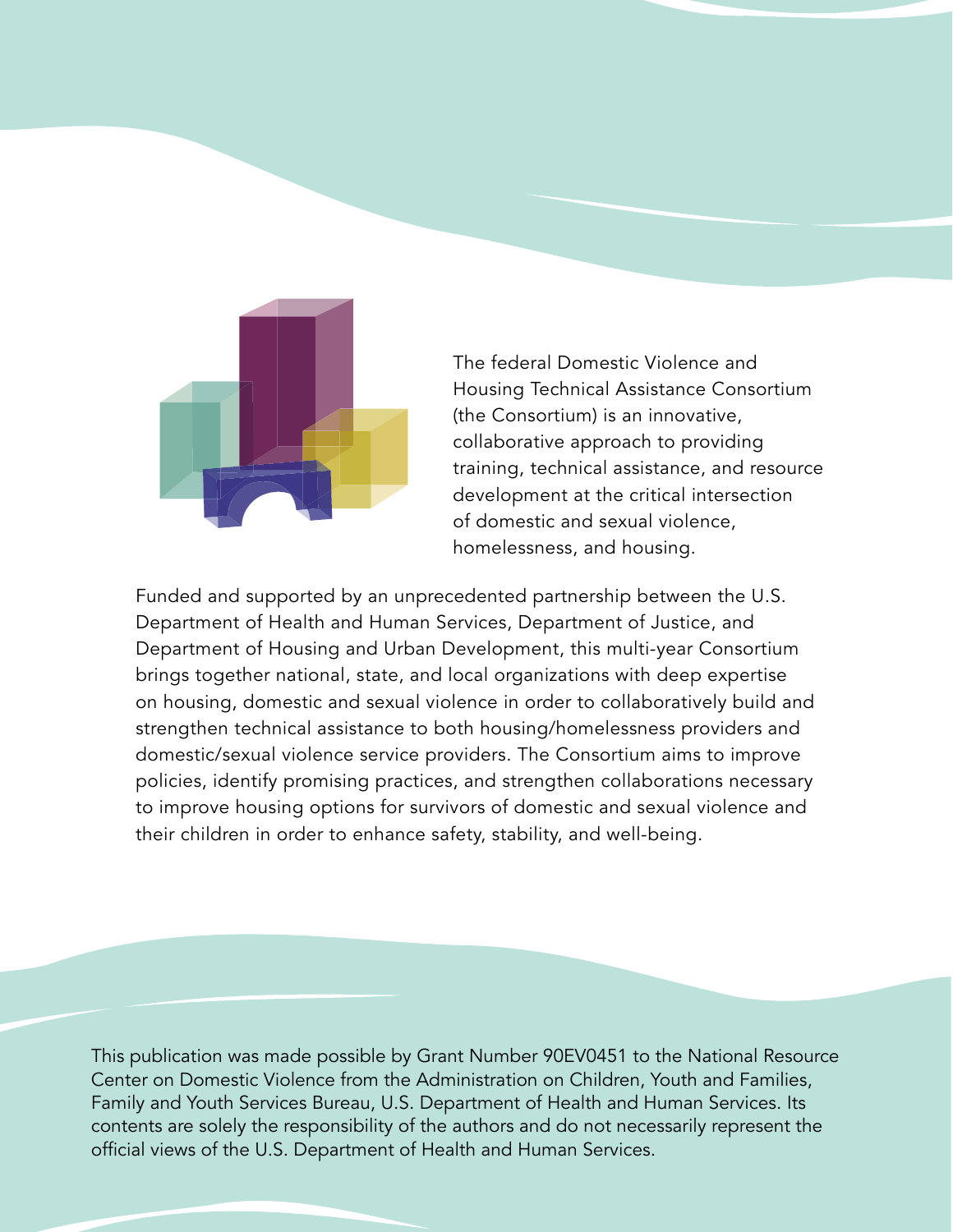

The federal Domestic Violence and Housing Technical Assistance Consortium (the Consortium) is an innovative, collaborative approach to providing training, technical assistance, and resource development at the critical intersection of domestic and sexual violence, homelessness, and housing.

Funded and supported by an unprecedented partnership between the U.S. Department of Health and Human Services, Department of Justice, and Department of Housing and Urban Development, this multi-year Consortium brings together national, state, and local organizations with deep expertise on housing, domestic and sexual violence in order to collaboratively build and strengthen technical assistance to both housing/homelessness providers and domestic/sexual violence service providers. The Consortium aims to improve policies, identify promising practices, and strengthen collaborations necessary to improve housing options for survivors of domestic and sexual violence and their children in order to enhance safety, stability, and well-being.

This publication was made possible by Grant Number 90EV0451 to the National Resource Center on Domestic Violence from the Administration on Children, Youth and Families, Family and Youth Services Bureau, U.S. Department of Health and Human Services. Its contents are solely the responsibility of the authors and do not necessarily represent the official views of the U.S. Department of Health and Human Services.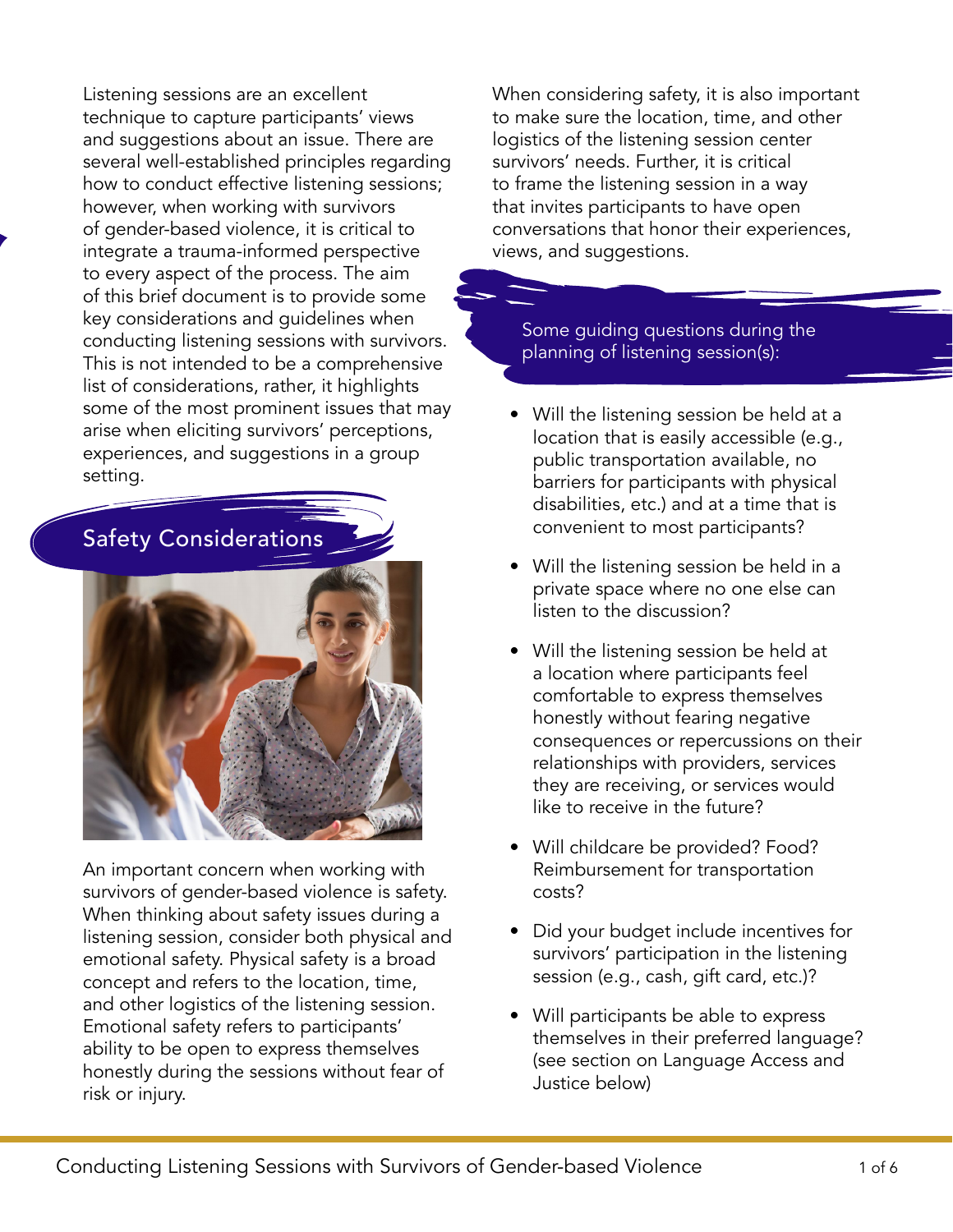Listening sessions are an excellent technique to capture participants' views and suggestions about an issue. There are several well-established principles regarding how to conduct effective listening sessions; however, when working with survivors of gender-based violence, it is critical to integrate a trauma-informed perspective to every aspect of the process. The aim of this brief document is to provide some key considerations and guidelines when conducting listening sessions with survivors. This is not intended to be a comprehensive list of considerations, rather, it highlights some of the most prominent issues that may arise when eliciting survivors' perceptions, experiences, and suggestions in a group setting.



An important concern when working with survivors of gender-based violence is safety. When thinking about safety issues during a listening session, consider both physical and emotional safety. Physical safety is a broad concept and refers to the location, time, and other logistics of the listening session. Emotional safety refers to participants' ability to be open to express themselves honestly during the sessions without fear of risk or injury.

When considering safety, it is also important to make sure the location, time, and other logistics of the listening session center survivors' needs. Further, it is critical to frame the listening session in a way that invites participants to have open conversations that honor their experiences, views, and suggestions.

#### Some guiding questions during the planning of listening session(s):

- Will the listening session be held at a location that is easily accessible (e.g., public transportation available, no barriers for participants with physical disabilities, etc.) and at a time that is convenient to most participants?
- Will the listening session be held in a private space where no one else can listen to the discussion?
- Will the listening session be held at a location where participants feel comfortable to express themselves honestly without fearing negative consequences or repercussions on their relationships with providers, services they are receiving, or services would like to receive in the future?
- Will childcare be provided? Food? Reimbursement for transportation costs?
- Did your budget include incentives for survivors' participation in the listening session (e.g., cash, gift card, etc.)?
- Will participants be able to express themselves in their preferred language? (see section on Language Access and Justice below)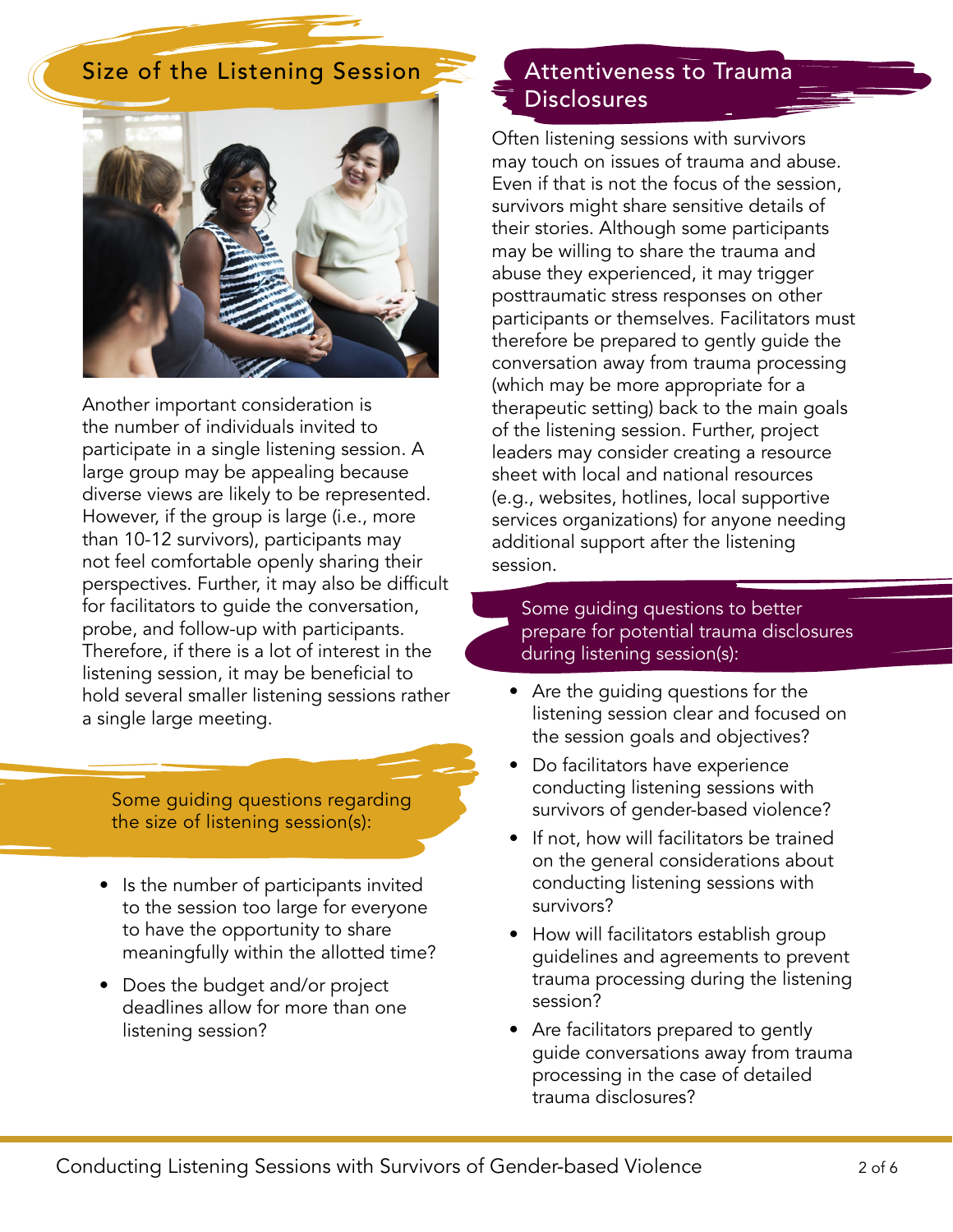#### Size of the Listening Session



Another important consideration is the number of individuals invited to participate in a single listening session. A large group may be appealing because diverse views are likely to be represented. However, if the group is large (i.e., more than 10-12 survivors), participants may not feel comfortable openly sharing their perspectives. Further, it may also be difficult for facilitators to guide the conversation, probe, and follow-up with participants. Therefore, if there is a lot of interest in the listening session, it may be beneficial to hold several smaller listening sessions rather a single large meeting.

Some guiding questions regarding the size of listening session(s):

- Is the number of participants invited to the session too large for everyone to have the opportunity to share meaningfully within the allotted time?
- Does the budget and/or project deadlines allow for more than one listening session?

#### Attentiveness to Trauma **Disclosures**

Often listening sessions with survivors may touch on issues of trauma and abuse. Even if that is not the focus of the session, survivors might share sensitive details of their stories. Although some participants may be willing to share the trauma and abuse they experienced, it may trigger posttraumatic stress responses on other participants or themselves. Facilitators must therefore be prepared to gently guide the conversation away from trauma processing (which may be more appropriate for a therapeutic setting) back to the main goals of the listening session. Further, project leaders may consider creating a resource sheet with local and national resources (e.g., websites, hotlines, local supportive services organizations) for anyone needing additional support after the listening session.

#### Some guiding questions to better prepare for potential trauma disclosures during listening session(s):

- Are the guiding questions for the listening session clear and focused on the session goals and objectives?
- Do facilitators have experience conducting listening sessions with survivors of gender-based violence?
- If not, how will facilitators be trained on the general considerations about conducting listening sessions with survivors?
- How will facilitators establish group guidelines and agreements to prevent trauma processing during the listening session?
- Are facilitators prepared to gently guide conversations away from trauma processing in the case of detailed trauma disclosures?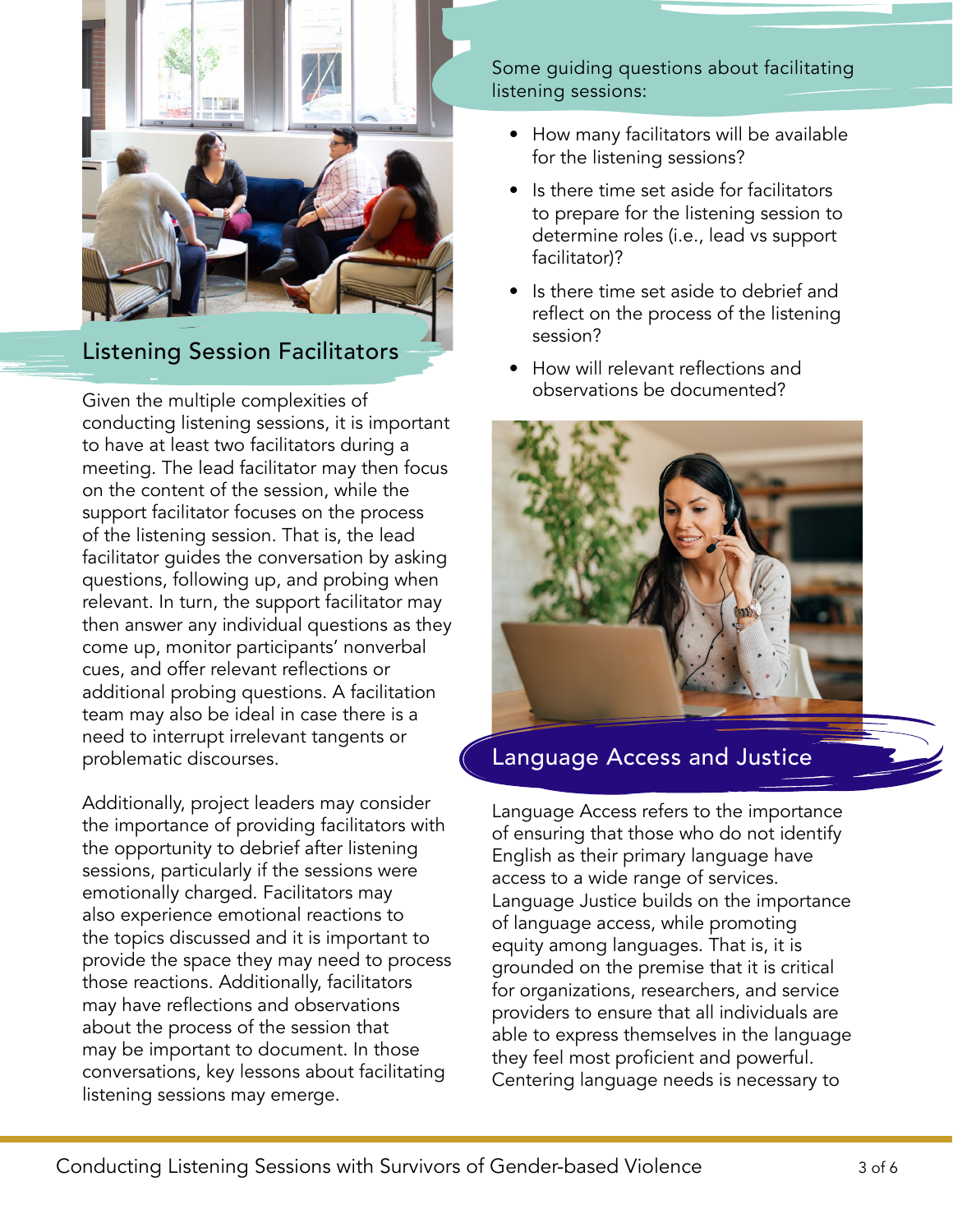

#### Listening Session Facilitators

Given the multiple complexities of conducting listening sessions, it is important to have at least two facilitators during a meeting. The lead facilitator may then focus on the content of the session, while the support facilitator focuses on the process of the listening session. That is, the lead facilitator guides the conversation by asking questions, following up, and probing when relevant. In turn, the support facilitator may then answer any individual questions as they come up, monitor participants' nonverbal cues, and offer relevant reflections or additional probing questions. A facilitation team may also be ideal in case there is a need to interrupt irrelevant tangents or problematic discourses.

Additionally, project leaders may consider the importance of providing facilitators with the opportunity to debrief after listening sessions, particularly if the sessions were emotionally charged. Facilitators may also experience emotional reactions to the topics discussed and it is important to provide the space they may need to process those reactions. Additionally, facilitators may have reflections and observations about the process of the session that may be important to document. In those conversations, key lessons about facilitating listening sessions may emerge.

Some guiding questions about facilitating listening sessions:

- How many facilitators will be available for the listening sessions?
- Is there time set aside for facilitators to prepare for the listening session to determine roles (i.e., lead vs support facilitator)?
- Is there time set aside to debrief and reflect on the process of the listening session?
- How will relevant reflections and observations be documented?



#### Language Access and Justice

Language Access refers to the importance of ensuring that those who do not identify English as their primary language have access to a wide range of services. Language Justice builds on the importance of language access, while promoting equity among languages. That is, it is grounded on the premise that it is critical for organizations, researchers, and service providers to ensure that all individuals are able to express themselves in the language they feel most proficient and powerful. Centering language needs is necessary to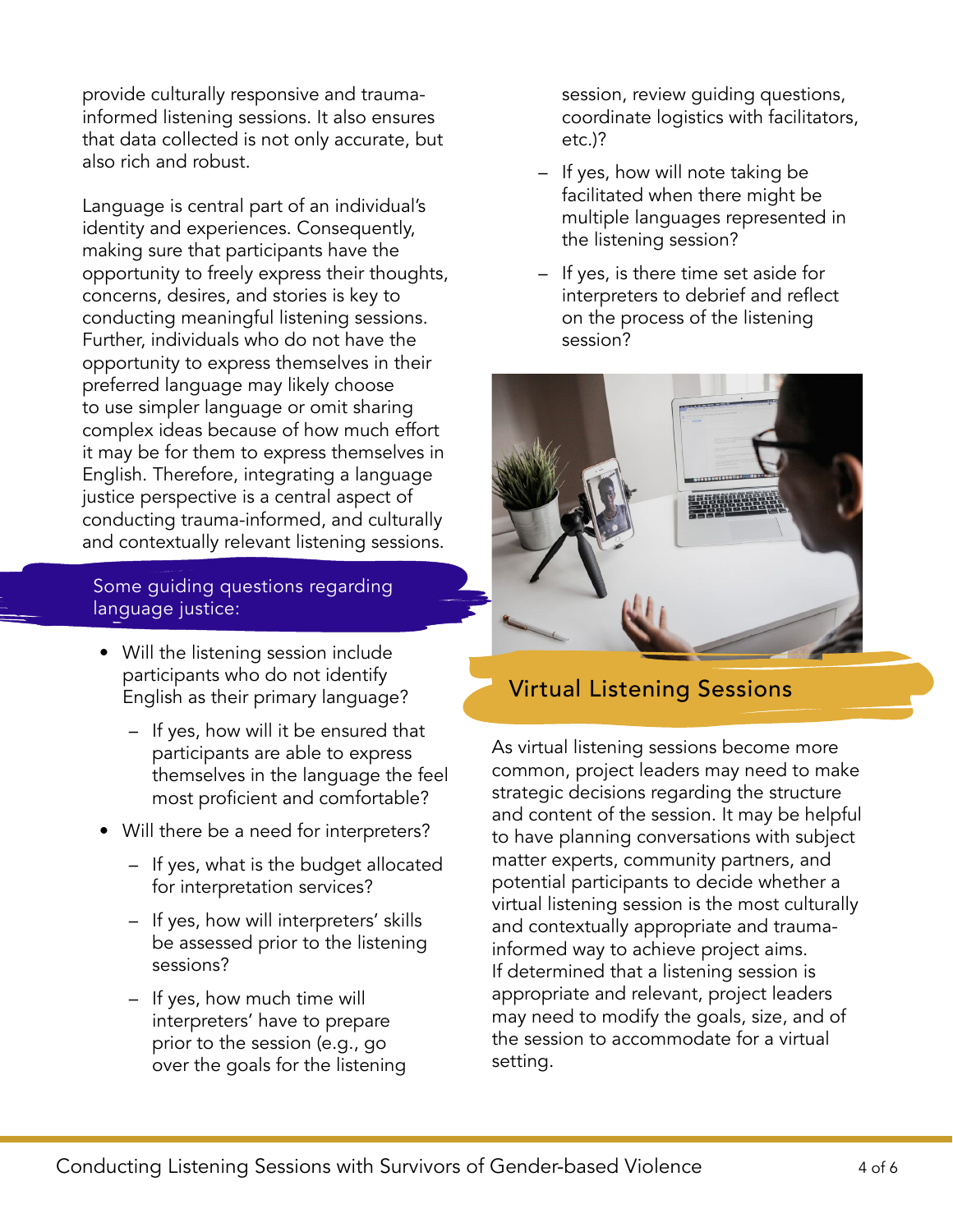provide culturally responsive and traumainformed listening sessions. It also ensures that data collected is not only accurate, but also rich and robust.

Language is central part of an individual's identity and experiences. Consequently, making sure that participants have the opportunity to freely express their thoughts, concerns, desires, and stories is key to conducting meaningful listening sessions. Further, individuals who do not have the opportunity to express themselves in their preferred language may likely choose to use simpler language or omit sharing complex ideas because of how much effort it may be for them to express themselves in English. Therefore, integrating a language justice perspective is a central aspect of conducting trauma-informed, and culturally and contextually relevant listening sessions.

Some guiding questions regarding language justice:

- Will the listening session include participants who do not identify English as their primary language?
	- If yes, how will it be ensured that participants are able to express themselves in the language the feel most proficient and comfortable?
- Will there be a need for interpreters?
	- If yes, what is the budget allocated for interpretation services?
	- If yes, how will interpreters' skills be assessed prior to the listening sessions?
	- If yes, how much time will interpreters' have to prepare prior to the session (e.g., go over the goals for the listening

session, review guiding questions, coordinate logistics with facilitators, etc.)?

- If yes, how will note taking be facilitated when there might be multiple languages represented in the listening session?
- If yes, is there time set aside for interpreters to debrief and reflect on the process of the listening session?



### Virtual Listening Sessions

As virtual listening sessions become more common, project leaders may need to make strategic decisions regarding the structure and content of the session. It may be helpful to have planning conversations with subject matter experts, community partners, and potential participants to decide whether a virtual listening session is the most culturally and contextually appropriate and traumainformed way to achieve project aims. If determined that a listening session is appropriate and relevant, project leaders may need to modify the goals, size, and of the session to accommodate for a virtual setting.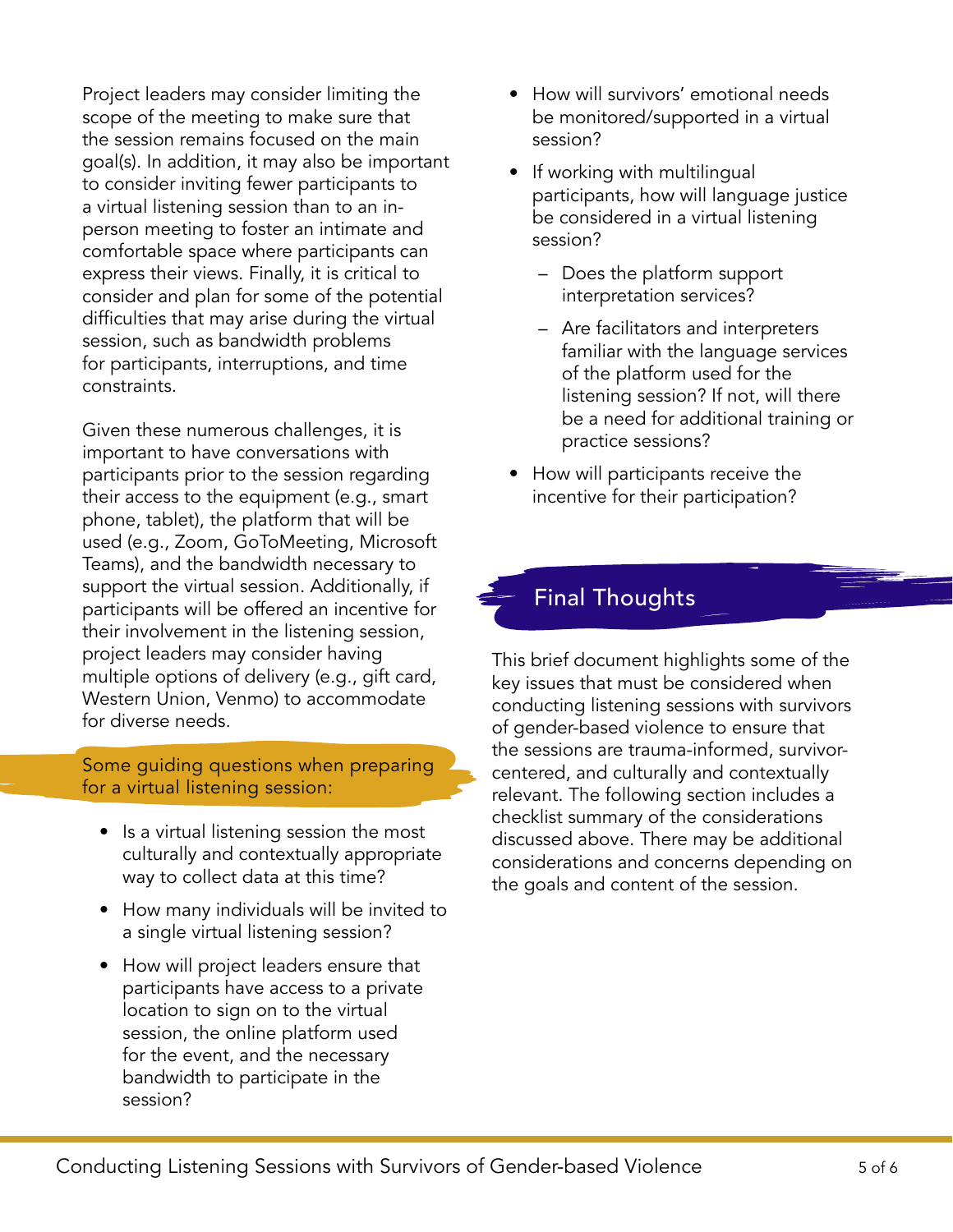Project leaders may consider limiting the scope of the meeting to make sure that the session remains focused on the main goal(s). In addition, it may also be important to consider inviting fewer participants to a virtual listening session than to an inperson meeting to foster an intimate and comfortable space where participants can express their views. Finally, it is critical to consider and plan for some of the potential difficulties that may arise during the virtual session, such as bandwidth problems for participants, interruptions, and time constraints.

Given these numerous challenges, it is important to have conversations with participants prior to the session regarding their access to the equipment (e.g., smart phone, tablet), the platform that will be used (e.g., Zoom, GoToMeeting, Microsoft Teams), and the bandwidth necessary to support the virtual session. Additionally, if participants will be offered an incentive for their involvement in the listening session, project leaders may consider having multiple options of delivery (e.g., gift card, Western Union, Venmo) to accommodate for diverse needs.

Some guiding questions when preparing for a virtual listening session:

- Is a virtual listening session the most culturally and contextually appropriate way to collect data at this time?
- How many individuals will be invited to a single virtual listening session?
- How will project leaders ensure that participants have access to a private location to sign on to the virtual session, the online platform used for the event, and the necessary bandwidth to participate in the session?
- How will survivors' emotional needs be monitored/supported in a virtual session?
- If working with multilingual participants, how will language justice be considered in a virtual listening session?
	- Does the platform support interpretation services?
	- Are facilitators and interpreters familiar with the language services of the platform used for the listening session? If not, will there be a need for additional training or practice sessions?
- How will participants receive the incentive for their participation?

#### Final Thoughts

This brief document highlights some of the key issues that must be considered when conducting listening sessions with survivors of gender-based violence to ensure that the sessions are trauma-informed, survivorcentered, and culturally and contextually relevant. The following section includes a checklist summary of the considerations discussed above. There may be additional considerations and concerns depending on the goals and content of the session.